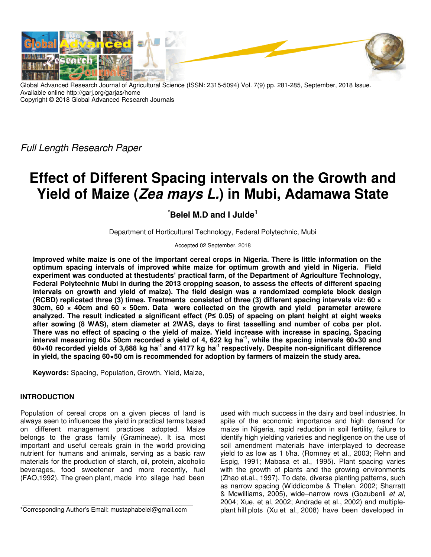

Global Advanced Research Journal of Agricultural Science (ISSN: 2315-5094) Vol. 7(9) pp. 281-285, September, 2018 Issue. Available online http://garj.org/garjas/home Copyright © 2018 Global Advanced Research Journals

*Full Length Research Paper*

# **Effect of Different Spacing intervals on the Growth and Yield of Maize (Zea mays L.) in Mubi, Adamawa State**

## **\*Belel M.D and I Julde<sup>1</sup>**

Department of Horticultural Technology, Federal Polytechnic, Mubi

Accepted 02 September, 2018

**Improved white maize is one of the important cereal crops in Nigeria. There is little information on the optimum spacing intervals of improved white maize for optimum growth and yield in Nigeria. Field experiment was conducted at thestudents' practical farm, of the Department of Agriculture Technology, Federal Polytechnic Mubi in during the 2013 cropping season, to assess the effects of different spacing intervals on growth and yield of maize). The field design was a randomized complete block design (RCBD) replicated three (3) times. Treatments consisted of three (3) different spacing intervals viz: 60 × 30cm, 60 × 40cm and 60 × 50cm. Data were collected on the growth and yield parameter arewere analyzed. The result indicated a significant effect (P≤ 0.05) of spacing on plant height at eight weeks after sowing (8 WAS), stem diameter at 2WAS, days to first tasselling and number of cobs per plot. There was no effect of spacing o the yield of maize. Yield increase with increase in spacing, Spacing interval measuring 60× 50cm recorded a yield of 4, 622 kg ha-1, while the spacing intervals 60×30 and 60×40 recorded yields of 3,688 kg ha-1 and 4177 kg ha-1 respectively. Despite non-significant difference in yield, the spacing 60×50 cm is recommended for adoption by farmers of maizein the study area.** 

**Keywords:** Spacing, Population, Growth, Yield, Maize,

### **INTRODUCTION**

Population of cereal crops on a given pieces of land is always seen to influences the yield in practical terms based on different management practices adopted. Maize belongs to the grass family (Gramineae). It isa most important and useful cereals grain in the world providing nutrient for humans and animals, serving as a basic raw materials for the production of starch, oil, protein, alcoholic beverages, food sweetener and more recently, fuel (FAO,1992). The green plant, made into silage had been

used with much success in the dairy and beef industries. In spite of the economic importance and high demand for maize in Nigeria, rapid reduction in soil fertility, failure to identify high yielding varieties and negligence on the use of soil amendment materials have interplayed to decrease yield to as low as 1 t/ha. (Romney et al., 2003; Rehn and Espig, 1991; Mabasa et al., 1995). Plant spacing varies with the growth of plants and the growing environments (Zhao et.al., 1997). To date, diverse planting patterns, such as narrow spacing (Widdicombe & Thelen, 2002; Sharratt & Mcwilliams, 2005), wide–narrow rows (Gozubenli *et al,* 2004; Xue, et al, 2002; Andrade et al., 2002) and multipleplant hill plots (Xu et al., 2008) have been developed in

<sup>\*</sup>Corresponding Author's Email: mustaphabelel@gmail.com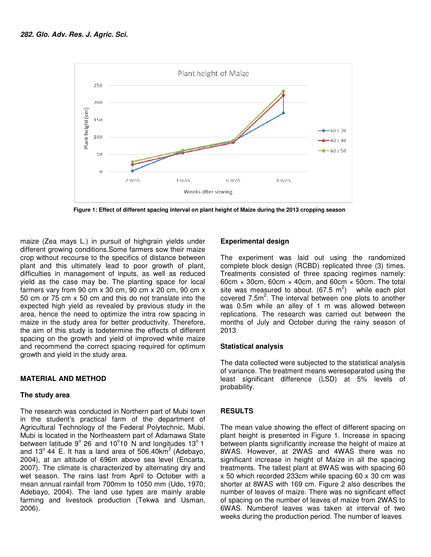

 **Figure 1: Effect of different spacing interval on plant height of Maize during the 2013 cropping season 1: Effect spacing interval plant height of Maize** 

maize (Zea mays L.) in pursuit of highgrain yields under different growing conditions. Some farmers sow their maize crop without recourse to the specifics of distance between plant and this ultimately lead to poor growth of plant, difficulties in management of inputs, as well as reduced yield as the case may be. The planting space for local farmers vary from 90 cm x 30 cm, 90 cm x 20 cm, 90 cm x 50 cm or 75 cm x 50 cm and this do not translate into the expected high yield as revealed by previous study in the area, hence the need to optimize the intra row spacing in maize in the study area for better productivity. Therefore, the aim of this study is todetermine the effects of different spacing on the growth and yield of improved white maize and recommend the correct spacing required for optimum growth and yield in the study area. ecourse to the specifics of distance between<br>s ultimately lead to poor growth of plant,<br>management of inputs, as well as reduced<br>case may be. The planting space for local<br>rom 90 cm x 30 cm, 90 cm x 20 cm, 90 cm x<br>cm x 50 c is todetermine the effects of different<br>
Shand yield of improved white maize<br>
correct spacing required for optimum<br>
e study area.<br>
THOD<br>
Mubi town mays L.) in pursuit of higherain yields under<br>
altracent controlling conditions. Some farmers sow their maize<br>
in recourse to the specifics of distance between The experiment was<br>
his ultimately lead to poor growth of plan

#### **MATERIAL AND METHOD**

#### **The study area**

The research was conducted in Northern part of Mubi in the student's practical farm of the department of Agricultural Technology of the Federal Polytechnic, Mubi Polytechnic, Mubi. Mubi is located in the Northeastern part of Adamawa State Mubi is located in the Northeastern part of Adamawa State<br>between latitude 9° 26 and 10°10 N and longitudes 13° 1 and 13 $^{\circ}$  44 E. It has a land area of 506.40km<sup>2</sup> (Adebayo, 2004), at an altitude of 696m above sea level (Encarta, 2007). The climate is characterized by alternating dry and wet season. The rains last from April to October with a mean annual rainfall from 700mm to 1050 mm (Udo, 1970; Adebayo, 2004). The land use types are mainly arable farming and livestock production (Tekwa and Usman, 2006).

The experiment was laid out using the randomized complete block design (RCBD) replicated three (3) times. Treatments consisted of three spacing regimes namely: Treatments consisted of three spacing regimes namely:<br>60cm × 30cm, 60cm × 40cm, and 60cm × 50cm. The total site was measured to about. (67.5 m<sup>2</sup>) while each plot covered  $7.5m^2$ . The interval between one plots to another was 0.5m while an alley of 1 m was allowed between replications. The research was carried out between the months of July and October during the rainy season of 2013 ley of 1 m was allowed between<br>arch was carried out between the<br>ctober during the rainy season of

#### **Statistical analysis**

The data collected were subjected to the statistical analysis The data collected were subjected to the statistical analysis<br>of variance. The treatment means wereseparated using the least significant difference (LSD) (LSD) at 5% levels of probability.

#### **RESULTS**

The mean value showing the effect of different spacing on The mean value showing the effect of different spacing on<br>plant height is presented in Figure 1. Increase in spacing between plants significantly increase the height of maize at 8WAS. However, at 2WAS and 4WAS there was no between plants significantly increase the height of maize at<br>8WAS. However, at 2WAS and 4WAS there was no<br>significant increase in height of Maize in all the spacing treatments. The tallest plant at 8WAS was with spacing 60 x 50 which recorded 233cm while spacing 60 x 30 cm was shorter at 8WAS with 169 cm. Figure 2 also describes the number of leaves of maize. There was no significant effect number of leaves of maize. There was no significant effect<br>of spacing on the number of leaves of maize from 2WAS to 6WAS. Numberof leaves was taken at interval of two 6WAS. Numberof leaves was taken at interval of two<br>weeks during the production period. The number of leaves eatments. The tallest plant at 8WAS was with spacing 60<br>50 which recorded 233cm while spacing 60 x 30 cm was<br>1orter at 8WAS with 169 cm. Figure 2 also describes the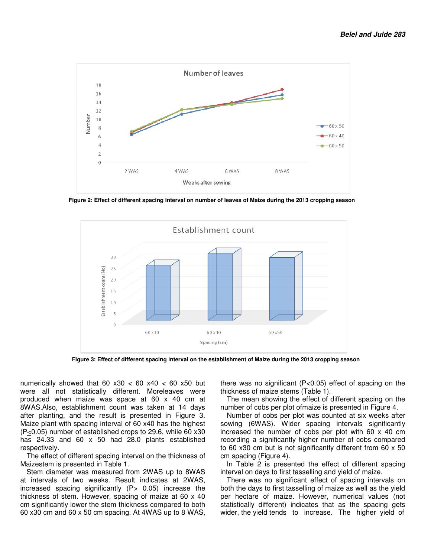

 **Figure 2: Effect of different spacing interval on number of leaves of Maize during the 2013 cropping season interval the 2013 season**



 **Figure 3: Effect of different spacing interval on the establishment of Maize during the 2013 cropping season of different** 

numerically showed that  $60 x30 < 60 x40 < 60 x50$  but numerically showed that 60 x30 < 60 x40 < 60 x50 but<br>were all not statistically different. Moreleaves were produced when maize was space at 60 x 40 cm at 8WAS.Also, establishment count was taken at 14 days after planting, and the result is presented in Figure 3. Maize plant with spacing interval of 60 x40 has the highest  $(P<sub>1</sub>0.05)$  number of established crops to 29.6, while 60 x30 has 24.33 and 60 x 50 had 28.0 plants established respectively. is 24.33 and 60 x 50 had 28.0 plants established<br>spectively.<br>The effect of different spacing interval on the thickness of s space at 60 x 40 cm at<br>count was taken at 14 days<br>ult is presented in Figure 3. nerically showed that 60 x30 < 60 x40 < 60 x50 but there was no significant (P<0.05) effect of spacing on the eall not statistically different. Moreleaves were thickness of matez estens (Table 1).<br>
AdS.Also, establishment

Maizestem is presented in Table 1.

Stem diameter was measured from 2WAS up to 8WAS at intervals of two weeks. Result indicates at 2WAS, at intervals of two weeks. Result indicates at 2WAS,<br>increased spacing significantly (P> 0.05) increase the thickness of stem. However, spacing of maize at 60 x 40 cm significantly lower the stem thickness compared to both 60 x30 cm and 60 x 50 cm spacing. At 4WAS up to 8 WAS,

thickness of maize stems (Table there was no significant ( $P<0.05$ ) effect of spacing on the

The mean showing the effect of different spacing on the The mean showing the effect of different spacing on th<br>number of cobs per plot ofmaize is presented in Figure 4.

Number of cobs per plot was counted at six weeks after sowing (6WAS). Wider spacing intervals significantly increased the number of cobs per plot with 60 x 40 cm recording a significantly higher number of cobs compared to 60 x30 cm but is not significantly different from 60 x 50 cm spacing (Figure 4).

In Table 2 is presented the effect of different spacing interval on days to first tasselling and yield of maize.

There was no significant effect of spacing intervals on both the days to first tasselling of maize as well as the yield per hectare of maize. However, numerical values statistically different) indicates that as the spacing gets wider, the yield tends to increase. The higher yield of recording a significantly higher number of cobs compared<br>to 60 x30 cm but is not significantly different from 60 x 50<br>cm spacing (Figure 4).<br>In Table 2 is presented the effect of different spacing<br>interval on days to first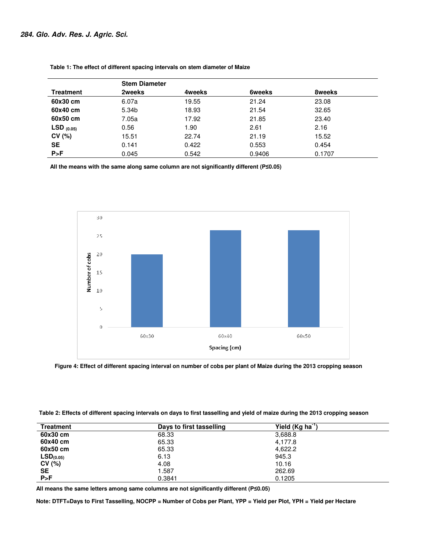|                  |        | <b>Stem Diameter</b> |               |        |  |  |
|------------------|--------|----------------------|---------------|--------|--|--|
| <b>Treatment</b> | 2weeks | 4weeks               | <b>6weeks</b> | 8weeks |  |  |
| 60x30 cm         | 6.07a  | 19.55                | 21.24         | 23.08  |  |  |
| 60x40 cm         | 5.34b  | 18.93                | 21.54         | 32.65  |  |  |
| 60x50 cm         | 7.05a  | 17.92                | 21.85         | 23.40  |  |  |
| $LSD$ (0.05)     | 0.56   | 1.90                 | 2.61          | 2.16   |  |  |
| CV(%)            | 15.51  | 22.74                | 21.19         | 15.52  |  |  |
| <b>SE</b>        | 0.141  | 0.422                | 0.553         | 0.454  |  |  |
| P > F            | 0.045  | 0.542                | 0.9406        | 0.1707 |  |  |

 **Table 1: The effect of different spacing intervals on stem diameter of Maize effect of** 

**All the means with the same along same column are not significantly different (P≤0.05)** 



| Figure 4: Effect of different spacing interval on number of cobs per plant of Maize during the 2013 cropping season            |
|--------------------------------------------------------------------------------------------------------------------------------|
|                                                                                                                                |
|                                                                                                                                |
|                                                                                                                                |
|                                                                                                                                |
| Table 2: Effects of different spacing intervals on days to first tasselling and yield of maize during the 2013 cropping season |

| <b>Treatment</b>      | Days to first tasselling | Yield $(Kg ha^{-1})$ |  |
|-----------------------|--------------------------|----------------------|--|
| 60x30 cm              | 68.33                    | 3,688.8              |  |
| 60x40 cm              | 65.33                    | 4,177.8              |  |
| 60x50 cm              | 65.33                    | 4,622.2              |  |
| LSD <sub>(0.05)</sub> | 6.13                     | 945.3                |  |
| CV(%)                 | 4.08                     | 10.16                |  |
| <b>SE</b>             | 1.587                    | 262.69               |  |
| P > F                 | 0.3841                   | 0.1205               |  |

**All means the same letters among same columns are not significantly different (P≤0.05)** 

Note: DTFT=Days to First Tasselling, NOCPP = Number of Cobs per Plant, YPP = Yield per Plot, YPH = Yield per Hectare